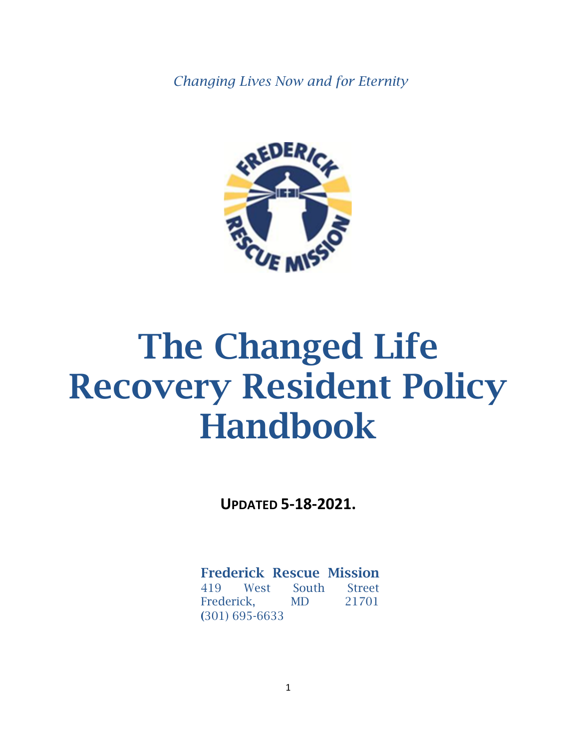*Changing Lives Now and for Eternity*



# The Changed Life Recovery Resident Policy Handbook

**UPDATED 5-18-2021.**

Frederick Rescue Mission 419 West South Street Frederick, MD 21701 (301) 695-6633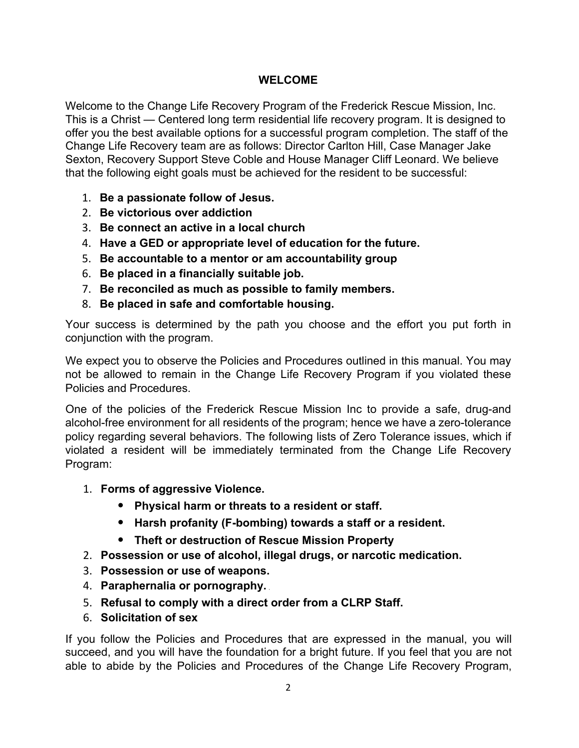## **WELCOME**

Welcome to the Change Life Recovery Program of the Frederick Rescue Mission, Inc. This is a Christ — Centered long term residential life recovery program. It is designed to offer you the best available options for a successful program completion. The staff of the Change Life Recovery team are as follows: Director Carlton Hill, Case Manager Jake Sexton, Recovery Support Steve Coble and House Manager Cliff Leonard. We believe that the following eight goals must be achieved for the resident to be successful:

- 1. **Be a passionate follow of Jesus.**
- 2. **Be victorious over addiction**
- 3. **Be connect an active in a local church**
- 4. **Have a GED or appropriate level of education for the future.**
- 5. **Be accountable to a mentor or am accountability group**
- 6. **Be placed in a financially suitable job.**
- 7. **Be reconciled as much as possible to family members.**
- 8. **Be placed in safe and comfortable housing.**

Your success is determined by the path you choose and the effort you put forth in conjunction with the program.

We expect you to observe the Policies and Procedures outlined in this manual. You may not be allowed to remain in the Change Life Recovery Program if you violated these Policies and Procedures.

One of the policies of the Frederick Rescue Mission Inc to provide a safe, drug-and alcohol-free environment for all residents of the program; hence we have a zero-tolerance policy regarding several behaviors. The following lists of Zero Tolerance issues, which if violated a resident will be immediately terminated from the Change Life Recovery Program:

- 1. **Forms of aggressive Violence.**
	- **Physical harm or threats to a resident or staff.**
	- **Harsh profanity (F-bombing) towards a staff or a resident.**
	- **Theft or destruction of Rescue Mission Property**
- 2. **Possession or use of alcohol, illegal drugs, or narcotic medication.**
- 3. **Possession or use of weapons.**
- 4. **Paraphernalia or pornography.**
- 5. **Refusal to comply with a direct order from a CLRP Staff.**
- 6. **Solicitation of sex**

If you follow the Policies and Procedures that are expressed in the manual, you will succeed, and you will have the foundation for a bright future. If you feel that you are not able to abide by the Policies and Procedures of the Change Life Recovery Program,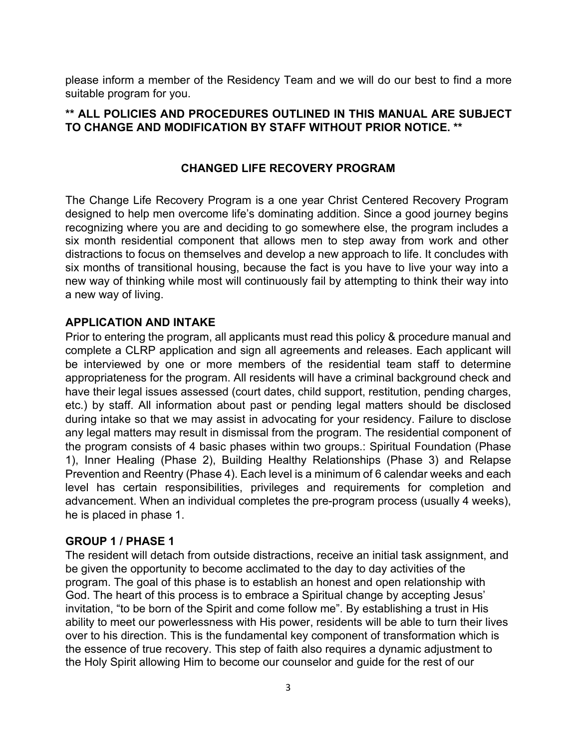please inform a member of the Residency Team and we will do our best to find a more suitable program for you.

## **\*\* ALL POLICIES AND PROCEDURES OUTLINED IN THIS MANUAL ARE SUBJECT TO CHANGE AND MODIFICATION BY STAFF WITHOUT PRIOR NOTICE. \*\***

## **CHANGED LIFE RECOVERY PROGRAM**

The Change Life Recovery Program is a one year Christ Centered Recovery Program designed to help men overcome life's dominating addition. Since a good journey begins recognizing where you are and deciding to go somewhere else, the program includes a six month residential component that allows men to step away from work and other distractions to focus on themselves and develop a new approach to life. It concludes with six months of transitional housing, because the fact is you have to live your way into a new way of thinking while most will continuously fail by attempting to think their way into a new way of living.

## **APPLICATION AND INTAKE**

Prior to entering the program, all applicants must read this policy & procedure manual and complete a CLRP application and sign all agreements and releases. Each applicant will be interviewed by one or more members of the residential team staff to determine appropriateness for the program. All residents will have a criminal background check and have their legal issues assessed (court dates, child support, restitution, pending charges, etc.) by staff. All information about past or pending legal matters should be disclosed during intake so that we may assist in advocating for your residency. Failure to disclose any legal matters may result in dismissal from the program. The residential component of the program consists of 4 basic phases within two groups.: Spiritual Foundation (Phase 1), Inner Healing (Phase 2), Building Healthy Relationships (Phase 3) and Relapse Prevention and Reentry (Phase 4). Each level is a minimum of 6 calendar weeks and each level has certain responsibilities, privileges and requirements for completion and advancement. When an individual completes the pre-program process (usually 4 weeks), he is placed in phase 1.

## **GROUP 1 / PHASE 1**

The resident will detach from outside distractions, receive an initial task assignment, and be given the opportunity to become acclimated to the day to day activities of the program. The goal of this phase is to establish an honest and open relationship with God. The heart of this process is to embrace a Spiritual change by accepting Jesus' invitation, "to be born of the Spirit and come follow me". By establishing a trust in His ability to meet our powerlessness with His power, residents will be able to turn their lives over to his direction. This is the fundamental key component of transformation which is the essence of true recovery. This step of faith also requires a dynamic adjustment to the Holy Spirit allowing Him to become our counselor and guide for the rest of our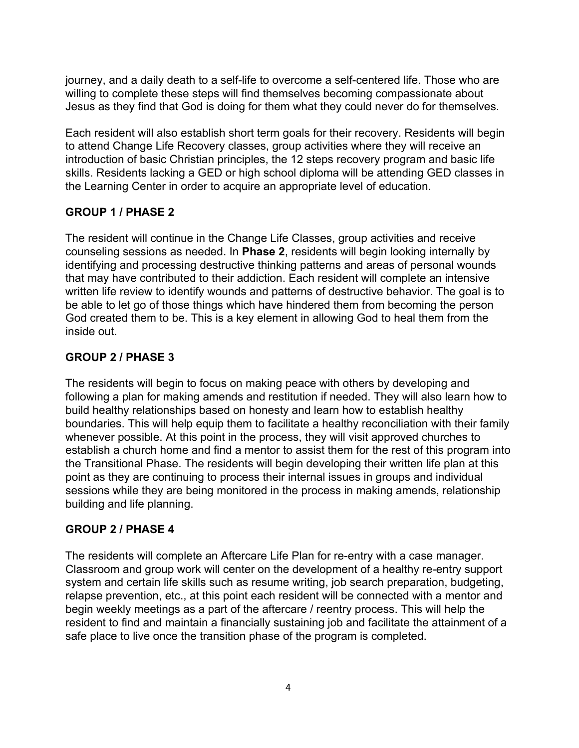journey, and a daily death to a self-life to overcome a self-centered life. Those who are willing to complete these steps will find themselves becoming compassionate about Jesus as they find that God is doing for them what they could never do for themselves.

Each resident will also establish short term goals for their recovery. Residents will begin to attend Change Life Recovery classes, group activities where they will receive an introduction of basic Christian principles, the 12 steps recovery program and basic life skills. Residents lacking a GED or high school diploma will be attending GED classes in the Learning Center in order to acquire an appropriate level of education.

# **GROUP 1 / PHASE 2**

The resident will continue in the Change Life Classes, group activities and receive counseling sessions as needed. In **Phase 2**, residents will begin looking internally by identifying and processing destructive thinking patterns and areas of personal wounds that may have contributed to their addiction. Each resident will complete an intensive written life review to identify wounds and patterns of destructive behavior. The goal is to be able to let go of those things which have hindered them from becoming the person God created them to be. This is a key element in allowing God to heal them from the inside out.

## **GROUP 2 / PHASE 3**

The residents will begin to focus on making peace with others by developing and following a plan for making amends and restitution if needed. They will also learn how to build healthy relationships based on honesty and learn how to establish healthy boundaries. This will help equip them to facilitate a healthy reconciliation with their family whenever possible. At this point in the process, they will visit approved churches to establish a church home and find a mentor to assist them for the rest of this program into the Transitional Phase. The residents will begin developing their written life plan at this point as they are continuing to process their internal issues in groups and individual sessions while they are being monitored in the process in making amends, relationship building and life planning.

## **GROUP 2 / PHASE 4**

The residents will complete an Aftercare Life Plan for re-entry with a case manager. Classroom and group work will center on the development of a healthy re-entry support system and certain life skills such as resume writing, job search preparation, budgeting, relapse prevention, etc., at this point each resident will be connected with a mentor and begin weekly meetings as a part of the aftercare / reentry process. This will help the resident to find and maintain a financially sustaining job and facilitate the attainment of a safe place to live once the transition phase of the program is completed.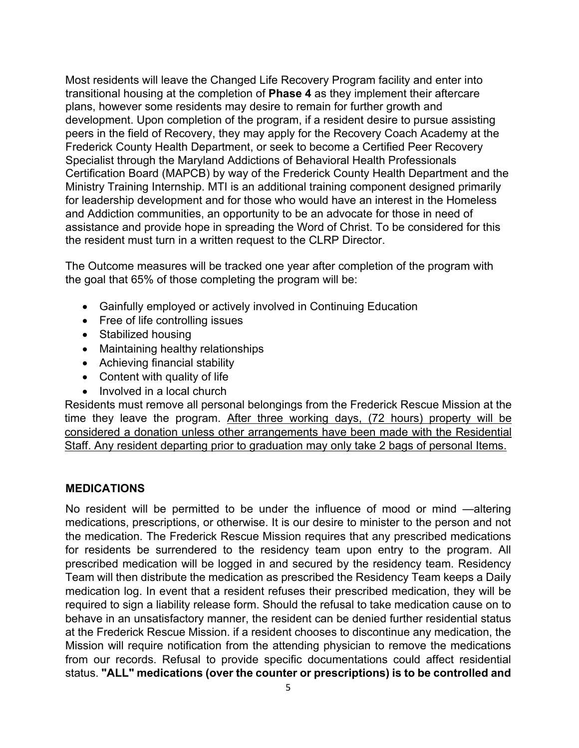Most residents will leave the Changed Life Recovery Program facility and enter into transitional housing at the completion of **Phase 4** as they implement their aftercare plans, however some residents may desire to remain for further growth and development. Upon completion of the program, if a resident desire to pursue assisting peers in the field of Recovery, they may apply for the Recovery Coach Academy at the Frederick County Health Department, or seek to become a Certified Peer Recovery Specialist through the Maryland Addictions of Behavioral Health Professionals Certification Board (MAPCB) by way of the Frederick County Health Department and the Ministry Training Internship. MTI is an additional training component designed primarily for leadership development and for those who would have an interest in the Homeless and Addiction communities, an opportunity to be an advocate for those in need of assistance and provide hope in spreading the Word of Christ. To be considered for this the resident must turn in a written request to the CLRP Director.

The Outcome measures will be tracked one year after completion of the program with the goal that 65% of those completing the program will be:

- Gainfully employed or actively involved in Continuing Education
- Free of life controlling issues
- Stabilized housing
- Maintaining healthy relationships
- Achieving financial stability
- Content with quality of life
- Involved in a local church

Residents must remove all personal belongings from the Frederick Rescue Mission at the time they leave the program. After three working days, (72 hours) property will be considered a donation unless other arrangements have been made with the Residential Staff. Any resident departing prior to graduation may only take 2 bags of personal Items.

## **MEDICATIONS**

No resident will be permitted to be under the influence of mood or mind —altering medications, prescriptions, or otherwise. It is our desire to minister to the person and not the medication. The Frederick Rescue Mission requires that any prescribed medications for residents be surrendered to the residency team upon entry to the program. All prescribed medication will be logged in and secured by the residency team. Residency Team will then distribute the medication as prescribed the Residency Team keeps a Daily medication log. In event that a resident refuses their prescribed medication, they will be required to sign a liability release form. Should the refusal to take medication cause on to behave in an unsatisfactory manner, the resident can be denied further residential status at the Frederick Rescue Mission. if a resident chooses to discontinue any medication, the Mission will require notification from the attending physician to remove the medications from our records. Refusal to provide specific documentations could affect residential status. **"ALL" medications (over the counter or prescriptions) is to be controlled and**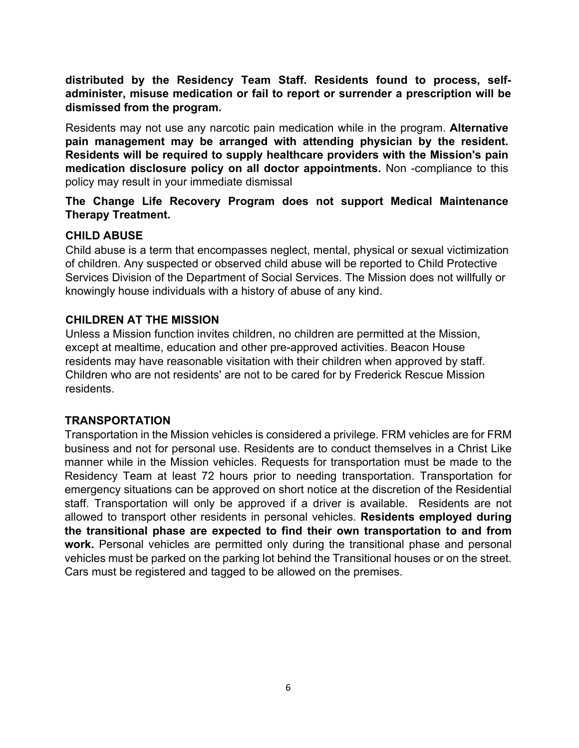**distributed by the Residency Team Staff. Residents found to process, selfadminister, misuse medication or fail to report or surrender a prescription will be dismissed from the program.**

Residents may not use any narcotic pain medication while in the program. **Alternative pain management may be arranged with attending physician by the resident. Residents will be required to supply healthcare providers with the Mission's pain medication disclosure policy on all doctor appointments.** Non -compliance to this policy may result in your immediate dismissal

## **The Change Life Recovery Program does not support Medical Maintenance Therapy Treatment.**

## **CHILD ABUSE**

Child abuse is a term that encompasses neglect, mental, physical or sexual victimization of children. Any suspected or observed child abuse will be reported to Child Protective Services Division of the Department of Social Services. The Mission does not willfully or knowingly house individuals with a history of abuse of any kind.

## **CHILDREN AT THE MISSION**

Unless a Mission function invites children, no children are permitted at the Mission, except at mealtime, education and other pre-approved activities. Beacon House residents may have reasonable visitation with their children when approved by staff. Children who are not residents' are not to be cared for by Frederick Rescue Mission residents.

# **TRANSPORTATION**

Transportation in the Mission vehicles is considered a privilege. FRM vehicles are for FRM business and not for personal use. Residents are to conduct themselves in a Christ Like manner while in the Mission vehicles. Requests for transportation must be made to the Residency Team at least 72 hours prior to needing transportation. Transportation for emergency situations can be approved on short notice at the discretion of the Residential staff. Transportation will only be approved if a driver is available. Residents are not allowed to transport other residents in personal vehicles. **Residents employed during the transitional phase are expected to find their own transportation to and from work.** Personal vehicles are permitted only during the transitional phase and personal vehicles must be parked on the parking lot behind the Transitional houses or on the street. Cars must be registered and tagged to be allowed on the premises.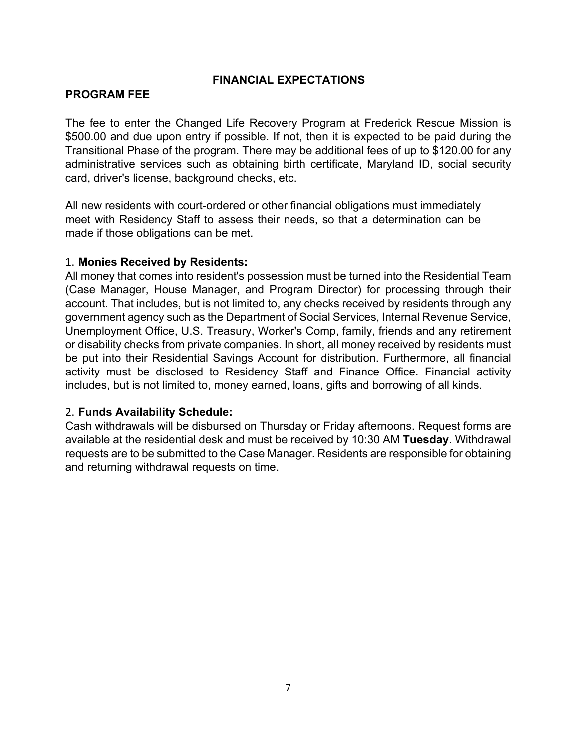## **FINANCIAL EXPECTATIONS**

## **PROGRAM FEE**

The fee to enter the Changed Life Recovery Program at Frederick Rescue Mission is \$500.00 and due upon entry if possible. If not, then it is expected to be paid during the Transitional Phase of the program. There may be additional fees of up to \$120.00 for any administrative services such as obtaining birth certificate, Maryland ID, social security card, driver's license, background checks, etc.

All new residents with court-ordered or other financial obligations must immediately meet with Residency Staff to assess their needs, so that a determination can be made if those obligations can be met.

#### 1. **Monies Received by Residents:**

All money that comes into resident's possession must be turned into the Residential Team (Case Manager, House Manager, and Program Director) for processing through their account. That includes, but is not limited to, any checks received by residents through any government agency such as the Department of Social Services, Internal Revenue Service, Unemployment Office, U.S. Treasury, Worker's Comp, family, friends and any retirement or disability checks from private companies. In short, all money received by residents must be put into their Residential Savings Account for distribution. Furthermore, all financial activity must be disclosed to Residency Staff and Finance Office. Financial activity includes, but is not limited to, money earned, loans, gifts and borrowing of all kinds.

## 2. **Funds Availability Schedule:**

Cash withdrawals will be disbursed on Thursday or Friday afternoons. Request forms are available at the residential desk and must be received by 10:30 AM **Tuesday**. Withdrawal requests are to be submitted to the Case Manager. Residents are responsible for obtaining and returning withdrawal requests on time.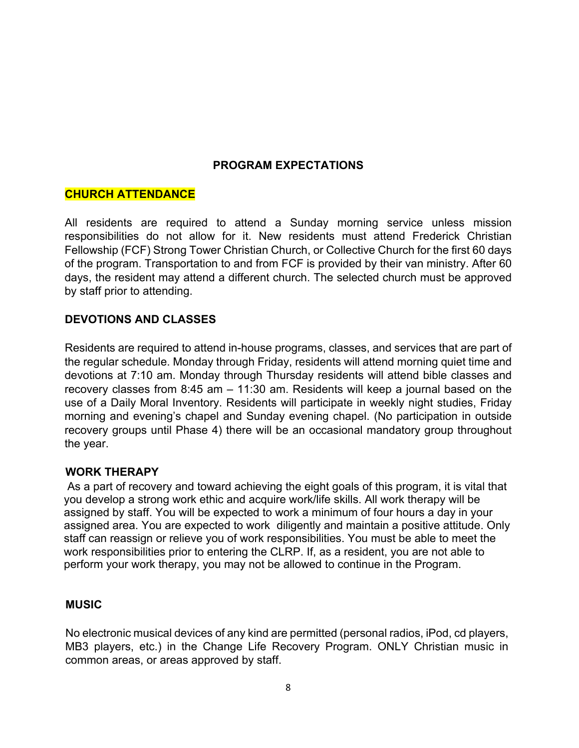## **PROGRAM EXPECTATIONS**

## **CHURCH ATTENDANCE**

All residents are required to attend a Sunday morning service unless mission responsibilities do not allow for it. New residents must attend Frederick Christian Fellowship (FCF) Strong Tower Christian Church, or Collective Church for the first 60 days of the program. Transportation to and from FCF is provided by their van ministry. After 60 days, the resident may attend a different church. The selected church must be approved by staff prior to attending.

## **DEVOTIONS AND CLASSES**

Residents are required to attend in-house programs, classes, and services that are part of the regular schedule. Monday through Friday, residents will attend morning quiet time and devotions at 7:10 am. Monday through Thursday residents will attend bible classes and recovery classes from 8:45 am – 11:30 am. Residents will keep a journal based on the use of a Daily Moral Inventory. Residents will participate in weekly night studies, Friday morning and evening's chapel and Sunday evening chapel. (No participation in outside recovery groups until Phase 4) there will be an occasional mandatory group throughout the year.

## **WORK THERAPY**

As a part of recovery and toward achieving the eight goals of this program, it is vital that you develop a strong work ethic and acquire work/life skills. All work therapy will be assigned by staff. You will be expected to work a minimum of four hours a day in your assigned area. You are expected to work diligently and maintain a positive attitude. Only staff can reassign or relieve you of work responsibilities. You must be able to meet the work responsibilities prior to entering the CLRP. If, as a resident, you are not able to perform your work therapy, you may not be allowed to continue in the Program.

#### **MUSIC**

No electronic musical devices of any kind are permitted (personal radios, iPod, cd players, MB3 players, etc.) in the Change Life Recovery Program. ONLY Christian music in common areas, or areas approved by staff.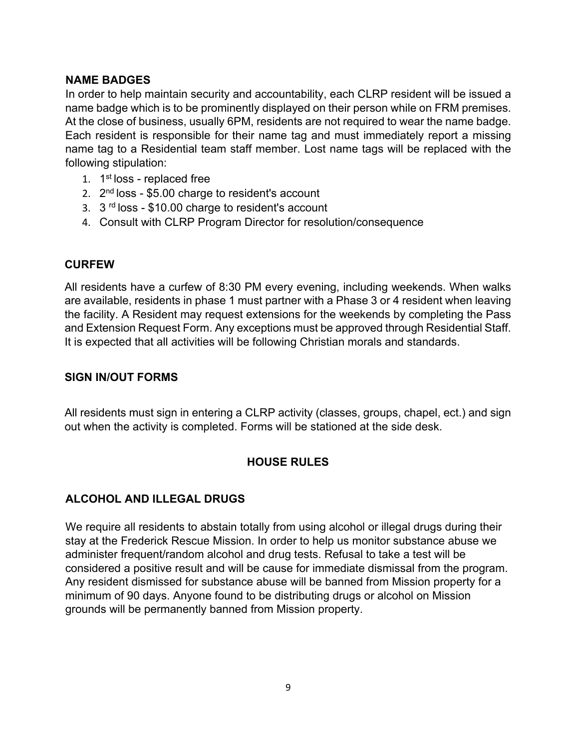## **NAME BADGES**

In order to help maintain security and accountability, each CLRP resident will be issued a name badge which is to be prominently displayed on their person while on FRM premises. At the close of business, usually 6PM, residents are not required to wear the name badge. Each resident is responsible for their name tag and must immediately report a missing name tag to a Residential team staff member. Lost name tags will be replaced with the following stipulation:

- 1. 1st loss replaced free
- 2.  $2<sup>nd</sup>$  loss \$5.00 charge to resident's account
- 3. 3<sup>rd</sup> loss \$10.00 charge to resident's account
- 4. Consult with CLRP Program Director for resolution/consequence

# **CURFEW**

All residents have a curfew of 8:30 PM every evening, including weekends. When walks are available, residents in phase 1 must partner with a Phase 3 or 4 resident when leaving the facility. A Resident may request extensions for the weekends by completing the Pass and Extension Request Form. Any exceptions must be approved through Residential Staff. It is expected that all activities will be following Christian morals and standards.

## **SIGN IN/OUT FORMS**

All residents must sign in entering a CLRP activity (classes, groups, chapel, ect.) and sign out when the activity is completed. Forms will be stationed at the side desk.

# **HOUSE RULES**

# **ALCOHOL AND ILLEGAL DRUGS**

We require all residents to abstain totally from using alcohol or illegal drugs during their stay at the Frederick Rescue Mission. In order to help us monitor substance abuse we administer frequent/random alcohol and drug tests. Refusal to take a test will be considered a positive result and will be cause for immediate dismissal from the program. Any resident dismissed for substance abuse will be banned from Mission property for a minimum of 90 days. Anyone found to be distributing drugs or alcohol on Mission grounds will be permanently banned from Mission property.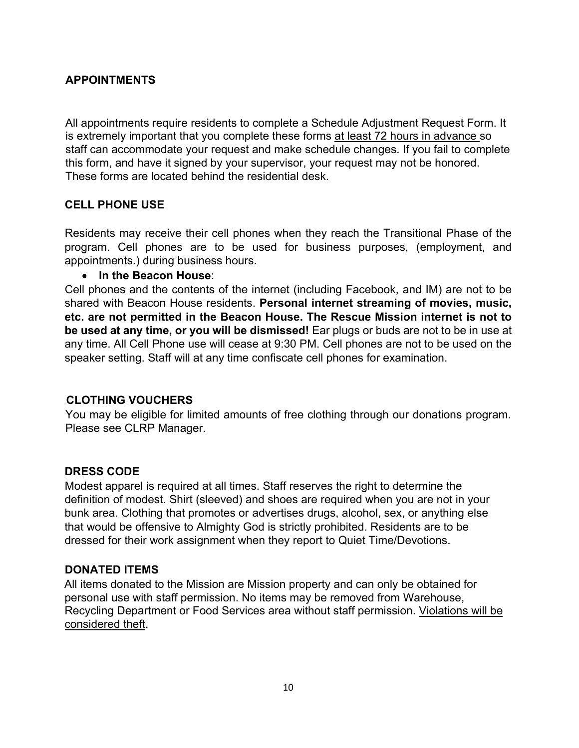## **APPOINTMENTS**

All appointments require residents to complete a Schedule Adjustment Request Form. It is extremely important that you complete these forms at least 72 hours in advance so staff can accommodate your request and make schedule changes. If you fail to complete this form, and have it signed by your supervisor, your request may not be honored. These forms are located behind the residential desk.

## **CELL PHONE USE**

Residents may receive their cell phones when they reach the Transitional Phase of the program. Cell phones are to be used for business purposes, (employment, and appointments.) during business hours.

#### • **In the Beacon House**:

Cell phones and the contents of the internet (including Facebook, and IM) are not to be shared with Beacon House residents. **Personal internet streaming of movies, music, etc. are not permitted in the Beacon House. The Rescue Mission internet is not to be used at any time, or you will be dismissed!** Ear plugs or buds are not to be in use at any time. All Cell Phone use will cease at 9:30 PM. Cell phones are not to be used on the speaker setting. Staff will at any time confiscate cell phones for examination.

## **CLOTHING VOUCHERS**

You may be eligible for limited amounts of free clothing through our donations program. Please see CLRP Manager.

## **DRESS CODE**

Modest apparel is required at all times. Staff reserves the right to determine the definition of modest. Shirt (sleeved) and shoes are required when you are not in your bunk area. Clothing that promotes or advertises drugs, alcohol, sex, or anything else that would be offensive to Almighty God is strictly prohibited. Residents are to be dressed for their work assignment when they report to Quiet Time/Devotions.

## **DONATED ITEMS**

All items donated to the Mission are Mission property and can only be obtained for personal use with staff permission. No items may be removed from Warehouse, Recycling Department or Food Services area without staff permission. Violations will be considered theft.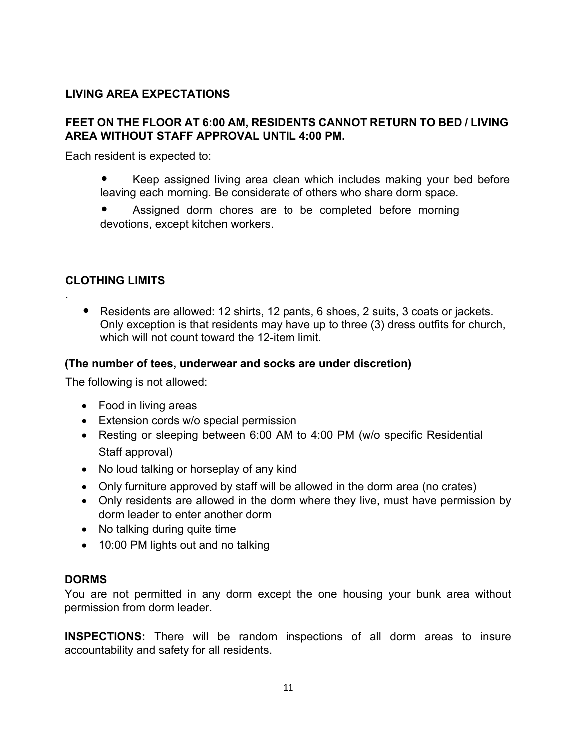# **LIVING AREA EXPECTATIONS**

#### **FEET ON THE FLOOR AT 6:00 AM, RESIDENTS CANNOT RETURN TO BED / LIVING AREA WITHOUT STAFF APPROVAL UNTIL 4:00 PM.**

Each resident is expected to:

- Keep assigned living area clean which includes making your bed before leaving each morning. Be considerate of others who share dorm space.
- Assigned dorm chores are to be completed before morning devotions, except kitchen workers.

## **CLOTHING LIMITS**

.

• Residents are allowed: 12 shirts, 12 pants, 6 shoes, 2 suits, 3 coats or jackets. Only exception is that residents may have up to three (3) dress outfits for church, which will not count toward the 12-item limit.

#### **(The number of tees, underwear and socks are under discretion)**

The following is not allowed:

- Food in living areas
- Extension cords w/o special permission
- Resting or sleeping between 6:00 AM to 4:00 PM (w/o specific Residential Staff approval)
- No loud talking or horseplay of any kind
- Only furniture approved by staff will be allowed in the dorm area (no crates)
- Only residents are allowed in the dorm where they live, must have permission by dorm leader to enter another dorm
- No talking during quite time
- 10:00 PM lights out and no talking

#### **DORMS**

You are not permitted in any dorm except the one housing your bunk area without permission from dorm leader.

**INSPECTIONS:** There will be random inspections of all dorm areas to insure accountability and safety for all residents.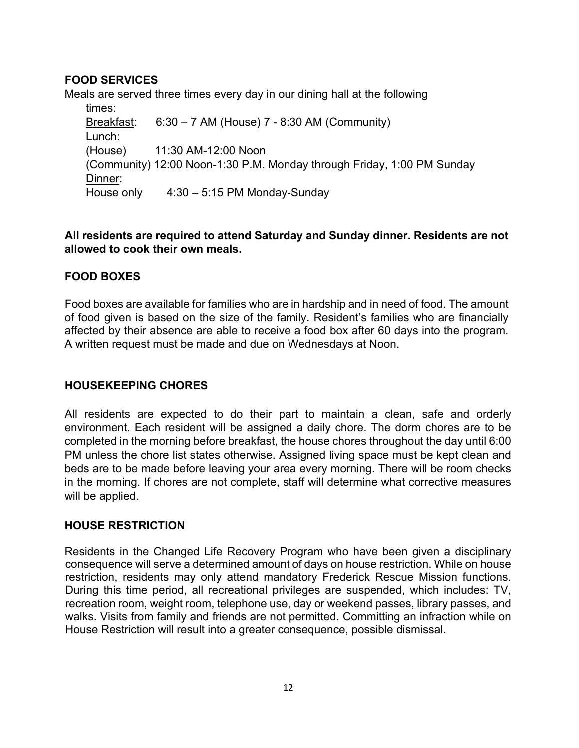# **FOOD SERVICES**

Meals are served three times every day in our dining hall at the following times:

Breakfast: 6:30 – 7 AM (House) 7 - 8:30 AM (Community) Lunch: (House) 11:30 AM-12:00 Noon (Community) 12:00 Noon-1:30 P.M. Monday through Friday, 1:00 PM Sunday Dinner: House only 4:30 – 5:15 PM Monday-Sunday

## **All residents are required to attend Saturday and Sunday dinner. Residents are not allowed to cook their own meals.**

# **FOOD BOXES**

Food boxes are available for families who are in hardship and in need of food. The amount of food given is based on the size of the family. Resident's families who are financially affected by their absence are able to receive a food box after 60 days into the program. A written request must be made and due on Wednesdays at Noon.

# **HOUSEKEEPING CHORES**

All residents are expected to do their part to maintain a clean, safe and orderly environment. Each resident will be assigned a daily chore. The dorm chores are to be completed in the morning before breakfast, the house chores throughout the day until 6:00 PM unless the chore list states otherwise. Assigned living space must be kept clean and beds are to be made before leaving your area every morning. There will be room checks in the morning. If chores are not complete, staff will determine what corrective measures will be applied.

## **HOUSE RESTRICTION**

Residents in the Changed Life Recovery Program who have been given a disciplinary consequence will serve a determined amount of days on house restriction. While on house restriction, residents may only attend mandatory Frederick Rescue Mission functions. During this time period, all recreational privileges are suspended, which includes: TV, recreation room, weight room, telephone use, day or weekend passes, library passes, and walks. Visits from family and friends are not permitted. Committing an infraction while on House Restriction will result into a greater consequence, possible dismissal.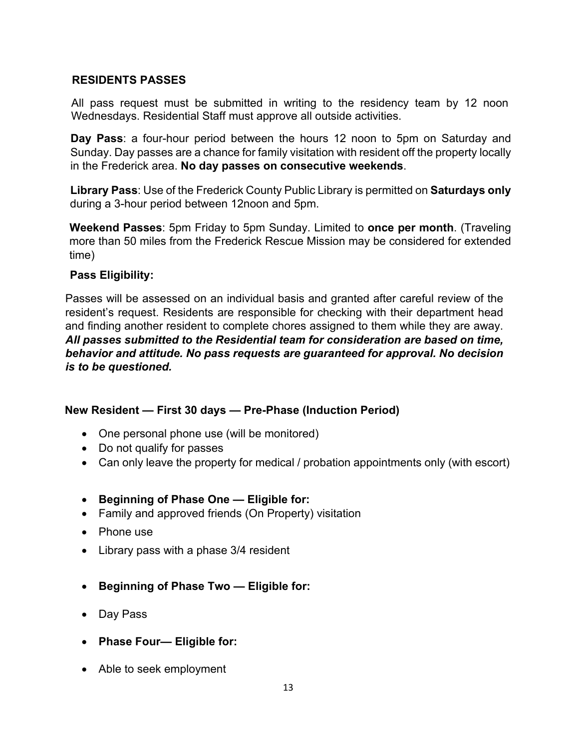## **RESIDENTS PASSES**

All pass request must be submitted in writing to the residency team by 12 noon Wednesdays. Residential Staff must approve all outside activities.

**Day Pass**: a four-hour period between the hours 12 noon to 5pm on Saturday and Sunday. Day passes are a chance for family visitation with resident off the property locally in the Frederick area. **No day passes on consecutive weekends**.

**Library Pass**: Use of the Frederick County Public Library is permitted on **Saturdays only** during a 3-hour period between 12noon and 5pm.

**Weekend Passes**: 5pm Friday to 5pm Sunday. Limited to **once per month**. (Traveling more than 50 miles from the Frederick Rescue Mission may be considered for extended time)

## **Pass Eligibility:**

Passes will be assessed on an individual basis and granted after careful review of the resident's request. Residents are responsible for checking with their department head and finding another resident to complete chores assigned to them while they are away. *All passes submitted to the Residential team for consideration are based on time, behavior and attitude. No pass requests are guaranteed for approval. No decision is to be questioned.*

# **New Resident — First 30 days — Pre-Phase (Induction Period)**

- One personal phone use (will be monitored)
- Do not qualify for passes
- Can only leave the property for medical / probation appointments only (with escort)
- **Beginning of Phase One — Eligible for:**
- Family and approved friends (On Property) visitation
- Phone use
- Library pass with a phase 3/4 resident
- **Beginning of Phase Two — Eligible for:**
- Day Pass
- **Phase Four— Eligible for:**
- Able to seek employment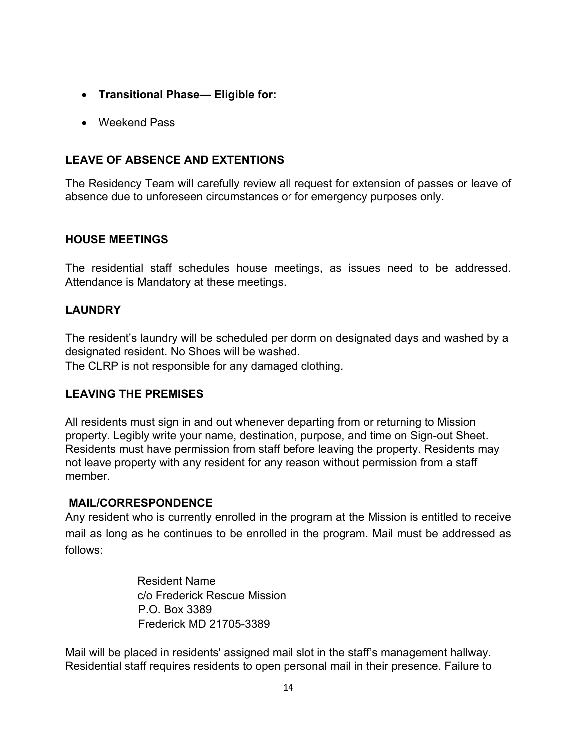- **Transitional Phase— Eligible for:**
- Weekend Pass

# **LEAVE OF ABSENCE AND EXTENTIONS**

The Residency Team will carefully review all request for extension of passes or leave of absence due to unforeseen circumstances or for emergency purposes only.

## **HOUSE MEETINGS**

The residential staff schedules house meetings, as issues need to be addressed. Attendance is Mandatory at these meetings.

## **LAUNDRY**

The resident's laundry will be scheduled per dorm on designated days and washed by a designated resident. No Shoes will be washed.

The CLRP is not responsible for any damaged clothing.

# **LEAVING THE PREMISES**

All residents must sign in and out whenever departing from or returning to Mission property. Legibly write your name, destination, purpose, and time on Sign-out Sheet. Residents must have permission from staff before leaving the property. Residents may not leave property with any resident for any reason without permission from a staff member.

## **MAIL/CORRESPONDENCE**

Any resident who is currently enrolled in the program at the Mission is entitled to receive mail as long as he continues to be enrolled in the program. Mail must be addressed as follows:

> Resident Name c/o Frederick Rescue Mission P.O. Box 3389 Frederick MD 21705-3389

Mail will be placed in residents' assigned mail slot in the staff's management hallway. Residential staff requires residents to open personal mail in their presence. Failure to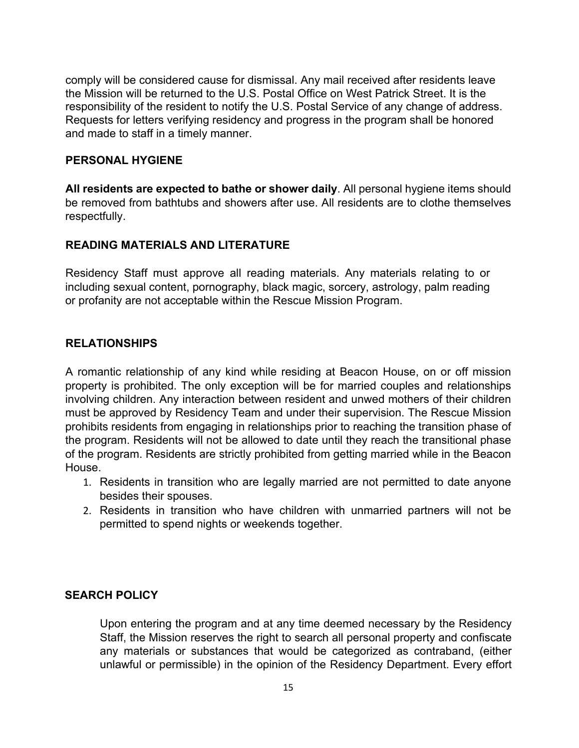comply will be considered cause for dismissal. Any mail received after residents leave the Mission will be returned to the U.S. Postal Office on West Patrick Street. It is the responsibility of the resident to notify the U.S. Postal Service of any change of address. Requests for letters verifying residency and progress in the program shall be honored and made to staff in a timely manner.

#### **PERSONAL HYGIENE**

**All residents are expected to bathe or shower daily**. All personal hygiene items should be removed from bathtubs and showers after use. All residents are to clothe themselves respectfully.

## **READING MATERIALS AND LITERATURE**

Residency Staff must approve all reading materials. Any materials relating to or including sexual content, pornography, black magic, sorcery, astrology, palm reading or profanity are not acceptable within the Rescue Mission Program.

## **RELATIONSHIPS**

A romantic relationship of any kind while residing at Beacon House, on or off mission property is prohibited. The only exception will be for married couples and relationships involving children. Any interaction between resident and unwed mothers of their children must be approved by Residency Team and under their supervision. The Rescue Mission prohibits residents from engaging in relationships prior to reaching the transition phase of the program. Residents will not be allowed to date until they reach the transitional phase of the program. Residents are strictly prohibited from getting married while in the Beacon House.

- 1. Residents in transition who are legally married are not permitted to date anyone besides their spouses.
- 2. Residents in transition who have children with unmarried partners will not be permitted to spend nights or weekends together.

## **SEARCH POLICY**

Upon entering the program and at any time deemed necessary by the Residency Staff, the Mission reserves the right to search all personal property and confiscate any materials or substances that would be categorized as contraband, (either unlawful or permissible) in the opinion of the Residency Department. Every effort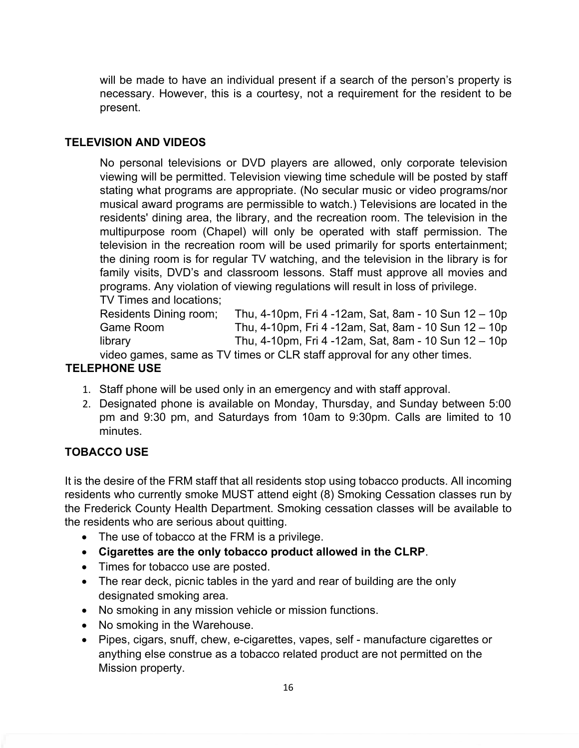will be made to have an individual present if a search of the person's property is necessary. However, this is a courtesy, not a requirement for the resident to be present.

## **TELEVISION AND VIDEOS**

No personal televisions or DVD players are allowed, only corporate television viewing will be permitted. Television viewing time schedule will be posted by staff stating what programs are appropriate. (No secular music or video programs/nor musical award programs are permissible to watch.) Televisions are located in the residents' dining area, the library, and the recreation room. The television in the multipurpose room (Chapel) will only be operated with staff permission. The television in the recreation room will be used primarily for sports entertainment; the dining room is for regular TV watching, and the television in the library is for family visits, DVD's and classroom lessons. Staff must approve all movies and programs. Any violation of viewing regulations will result in loss of privilege.

TV Times and locations;

| Residents Dining room; | Thu, 4-10pm, Fri 4 -12am, Sat, 8am - 10 Sun 12 - 10p                                       |
|------------------------|--------------------------------------------------------------------------------------------|
| Game Room              | Thu, 4-10pm, Fri 4 -12am, Sat, 8am - 10 Sun 12 - 10p                                       |
| library                | Thu, 4-10pm, Fri 4 -12am, Sat, 8am - 10 Sun $12 - 10p$                                     |
|                        | $\sim$ decided and $\sim$ TV because $\sim$ OLD staff expressed for expression than $\sim$ |

video games, same as TV times or CLR staff approval for any other times.

## **TELEPHONE USE**

- 1. Staff phone will be used only in an emergency and with staff approval.
- 2. Designated phone is available on Monday, Thursday, and Sunday between 5:00 pm and 9:30 pm, and Saturdays from 10am to 9:30pm. Calls are limited to 10 minutes.

## **TOBACCO USE**

It is the desire of the FRM staff that all residents stop using tobacco products. All incoming residents who currently smoke MUST attend eight (8) Smoking Cessation classes run by the Frederick County Health Department. Smoking cessation classes will be available to the residents who are serious about quitting.

- The use of tobacco at the FRM is a privilege.
- **Cigarettes are the only tobacco product allowed in the CLRP**.
- Times for tobacco use are posted.
- The rear deck, picnic tables in the yard and rear of building are the only designated smoking area.
- No smoking in any mission vehicle or mission functions.
- No smoking in the Warehouse.
- Pipes, cigars, snuff, chew, e-cigarettes, vapes, self manufacture cigarettes or anything else construe as a tobacco related product are not permitted on the Mission property.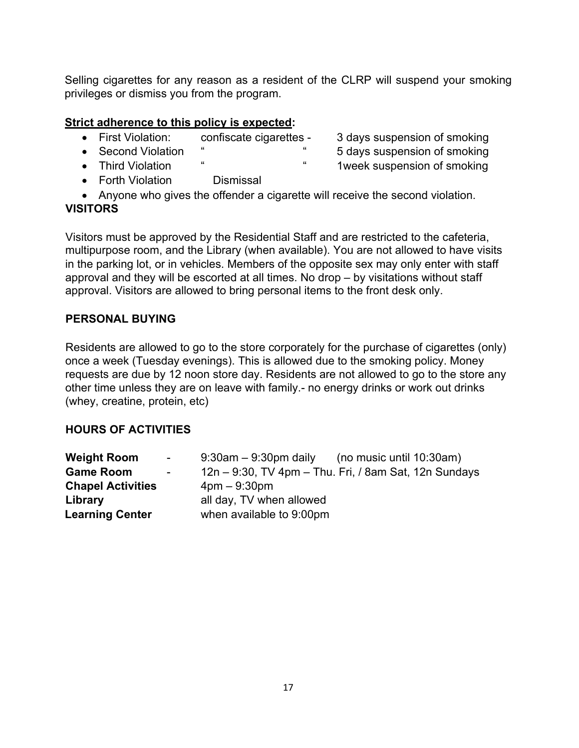Selling cigarettes for any reason as a resident of the CLRP will suspend your smoking privileges or dismiss you from the program.

## **Strict adherence to this policy is expected:**

| • First Violation: | confiscate cigarettes - | 3 days suspension of smoking |
|--------------------|-------------------------|------------------------------|
| • Second Violation |                         | 5 days suspension of smoking |
| • Third Violation  | "<br>"                  | 1 week suspension of smoking |

- Forth Violation Dismissal
- Anyone who gives the offender a cigarette will receive the second violation.

# **VISITORS**

Visitors must be approved by the Residential Staff and are restricted to the cafeteria, multipurpose room, and the Library (when available). You are not allowed to have visits in the parking lot, or in vehicles. Members of the opposite sex may only enter with staff approval and they will be escorted at all times. No drop – by visitations without staff approval. Visitors are allowed to bring personal items to the front desk only.

# **PERSONAL BUYING**

Residents are allowed to go to the store corporately for the purchase of cigarettes (only) once a week (Tuesday evenings). This is allowed due to the smoking policy. Money requests are due by 12 noon store day. Residents are not allowed to go to the store any other time unless they are on leave with family.- no energy drinks or work out drinks (whey, creatine, protein, etc)

# **HOURS OF ACTIVITIES**

| <b>Weight Room</b>       | $\sim 100$ | $9:30$ am $-9:30$ pm daily                            | (no music until 10:30am) |  |
|--------------------------|------------|-------------------------------------------------------|--------------------------|--|
| <b>Game Room</b>         | $\sim$     | 12n – 9:30, TV 4pm – Thu. Fri, / 8am Sat, 12n Sundays |                          |  |
| <b>Chapel Activities</b> |            | $4$ pm $-9:30$ pm                                     |                          |  |
| Library                  |            | all day, TV when allowed                              |                          |  |
| <b>Learning Center</b>   |            | when available to 9:00pm                              |                          |  |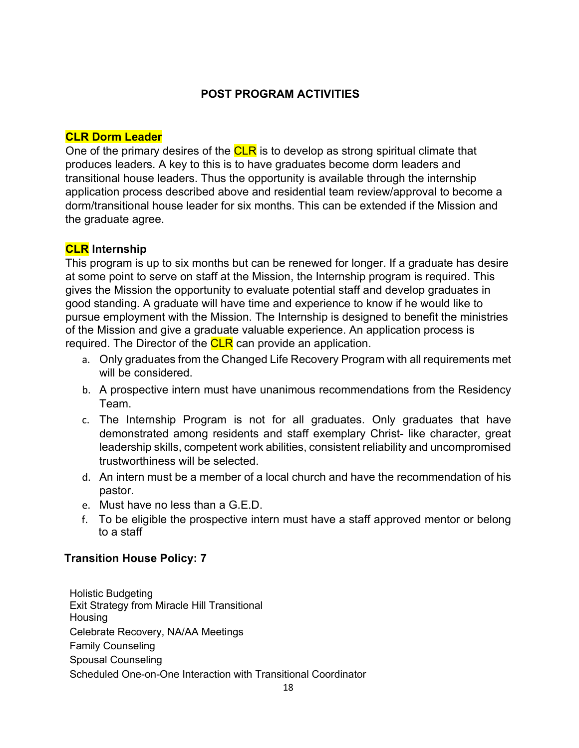## **POST PROGRAM ACTIVITIES**

## **CLR Dorm Leader**

One of the primary desires of the CLR is to develop as strong spiritual climate that produces leaders. A key to this is to have graduates become dorm leaders and transitional house leaders. Thus the opportunity is available through the internship application process described above and residential team review/approval to become a dorm/transitional house leader for six months. This can be extended if the Mission and the graduate agree.

## **CLR Internship**

This program is up to six months but can be renewed for longer. If a graduate has desire at some point to serve on staff at the Mission, the Internship program is required. This gives the Mission the opportunity to evaluate potential staff and develop graduates in good standing. A graduate will have time and experience to know if he would like to pursue employment with the Mission. The Internship is designed to benefit the ministries of the Mission and give a graduate valuable experience. An application process is required. The Director of the **CLR** can provide an application.

- a. Only graduates from the Changed Life Recovery Program with all requirements met will be considered.
- b. A prospective intern must have unanimous recommendations from the Residency Team.
- c. The Internship Program is not for all graduates. Only graduates that have demonstrated among residents and staff exemplary Christ- like character, great leadership skills, competent work abilities, consistent reliability and uncompromised trustworthiness will be selected.
- d. An intern must be a member of a local church and have the recommendation of his pastor.
- e. Must have no less than a G.E.D.
- f. To be eligible the prospective intern must have a staff approved mentor or belong to a staff

## **Transition House Policy: 7**

Holistic Budgeting Exit Strategy from Miracle Hill Transitional **Housing** Celebrate Recovery, NA/AA Meetings Family Counseling Spousal Counseling Scheduled One-on-One Interaction with Transitional Coordinator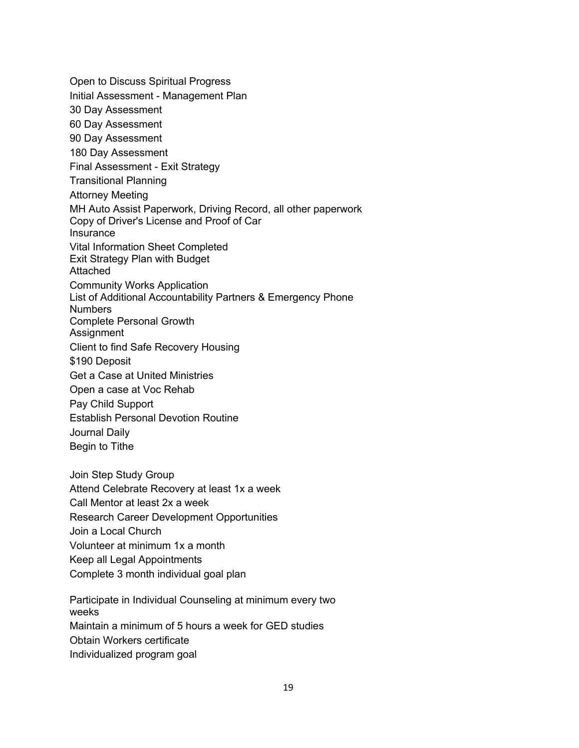Open to Discuss Spiritual Progress Initial Assessment - Management Plan 30 Day Assessment 60 Day Assessment 90 Day Assessment 180 Day Assessment Final Assessment - Exit Strategy Transitional Planning Attorney Meeting MH Auto Assist Paperwork, Driving Record, all other paperwork Copy of Driver's License and Proof of Car **Insurance** Vital Information Sheet Completed Exit Strategy Plan with Budget Attached Community Works Application List of Additional Accountability Partners & Emergency Phone Numbers Complete Personal Growth **Assignment** Client to find Safe Recovery Housing \$190 Deposit Get a Case at United Ministries Open a case at Voc Rehab Pay Child Support Establish Personal Devotion Routine Journal Daily Begin to Tithe Join Step Study Group Attend Celebrate Recovery at least 1x a week Call Mentor at least 2x a week Research Career Development Opportunities Join a Local Church Volunteer at minimum 1x a month Keep all Legal Appointments Complete 3 month individual goal plan Participate in Individual Counseling at minimum every two weeks Maintain a minimum of 5 hours a week for GED studies

Obtain Workers certificate

Individualized program goal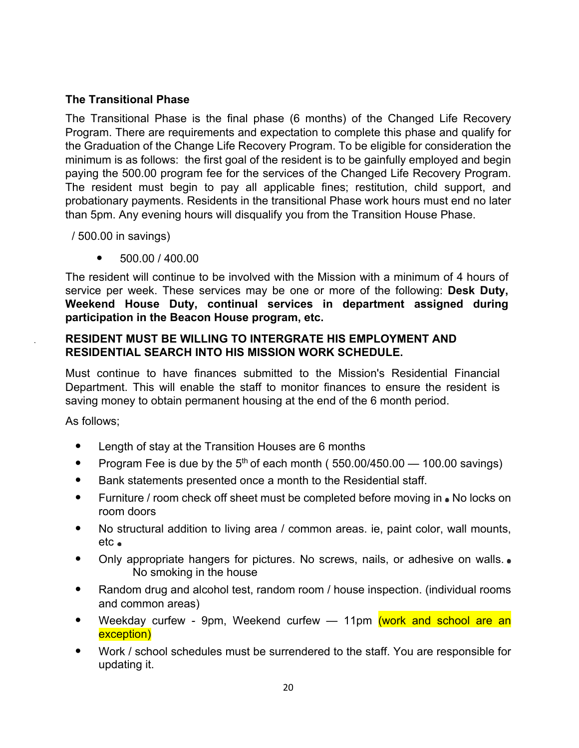## **The Transitional Phase**

The Transitional Phase is the final phase (6 months) of the Changed Life Recovery Program. There are requirements and expectation to complete this phase and qualify for the Graduation of the Change Life Recovery Program. To be eligible for consideration the minimum is as follows: the first goal of the resident is to be gainfully employed and begin paying the 500.00 program fee for the services of the Changed Life Recovery Program. The resident must begin to pay all applicable fines; restitution, child support, and probationary payments. Residents in the transitional Phase work hours must end no later than 5pm. Any evening hours will disqualify you from the Transition House Phase.

/ 500.00 in savings)

• 500.00 / 400.00

The resident will continue to be involved with the Mission with a minimum of 4 hours of service per week. These services may be one or more of the following: **Desk Duty, Weekend House Duty, continual services in department assigned during participation in the Beacon House program, etc.**

## **RESIDENT MUST BE WILLING TO INTERGRATE HIS EMPLOYMENT AND RESIDENTIAL SEARCH INTO HIS MISSION WORK SCHEDULE.**

Must continue to have finances submitted to the Mission's Residential Financial Department. This will enable the staff to monitor finances to ensure the resident is saving money to obtain permanent housing at the end of the 6 month period.

As follows;

- Length of stay at the Transition Houses are 6 months
- Program Fee is due by the  $5<sup>th</sup>$  of each month (  $550.00/450.00 100.00$  savings)
- Bank statements presented once a month to the Residential staff.
- Furniture / room check off sheet must be completed before moving in No locks on room doors
- No structural addition to living area / common areas. ie, paint color, wall mounts, etc
- Only appropriate hangers for pictures. No screws, nails, or adhesive on walls. No smoking in the house
- Random drug and alcohol test, random room / house inspection. (individual rooms and common areas)
- Weekday curfew 9pm, Weekend curfew 11pm (work and school are an exception)
- Work / school schedules must be surrendered to the staff. You are responsible for updating it.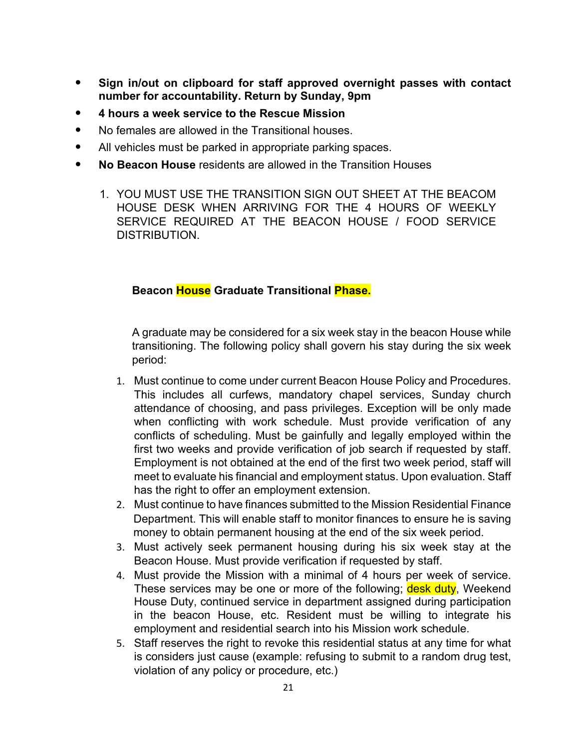- **Sign in/out on clipboard for staff approved overnight passes with contact number for accountability. Return by Sunday, 9pm**
- **4 hours a week service to the Rescue Mission**
- No females are allowed in the Transitional houses.
- All vehicles must be parked in appropriate parking spaces.
- **No Beacon House** residents are allowed in the Transition Houses
	- 1. YOU MUST USE THE TRANSITION SIGN OUT SHEET AT THE BEACOM HOUSE DESK WHEN ARRIVING FOR THE 4 HOURS OF WEEKLY SERVICE REQUIRED AT THE BEACON HOUSE / FOOD SERVICE DISTRIBUTION.

## **Beacon House Graduate Transitional Phase.**

A graduate may be considered for a six week stay in the beacon House while transitioning. The following policy shall govern his stay during the six week period:

- 1. Must continue to come under current Beacon House Policy and Procedures. This includes all curfews, mandatory chapel services, Sunday church attendance of choosing, and pass privileges. Exception will be only made when conflicting with work schedule. Must provide verification of any conflicts of scheduling. Must be gainfully and legally employed within the first two weeks and provide verification of job search if requested by staff. Employment is not obtained at the end of the first two week period, staff will meet to evaluate his financial and employment status. Upon evaluation. Staff has the right to offer an employment extension.
- 2. Must continue to have finances submitted to the Mission Residential Finance Department. This will enable staff to monitor finances to ensure he is saving money to obtain permanent housing at the end of the six week period.
- 3. Must actively seek permanent housing during his six week stay at the Beacon House. Must provide verification if requested by staff.
- 4. Must provide the Mission with a minimal of 4 hours per week of service. These services may be one or more of the following; desk duty, Weekend House Duty, continued service in department assigned during participation in the beacon House, etc. Resident must be willing to integrate his employment and residential search into his Mission work schedule.
- 5. Staff reserves the right to revoke this residential status at any time for what is considers just cause (example: refusing to submit to a random drug test, violation of any policy or procedure, etc.)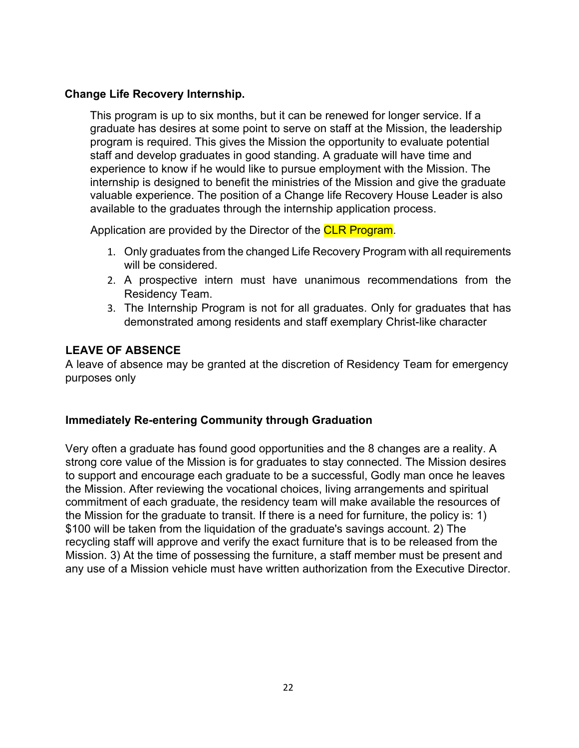#### **Change Life Recovery Internship.**

This program is up to six months, but it can be renewed for longer service. If a graduate has desires at some point to serve on staff at the Mission, the leadership program is required. This gives the Mission the opportunity to evaluate potential staff and develop graduates in good standing. A graduate will have time and experience to know if he would like to pursue employment with the Mission. The internship is designed to benefit the ministries of the Mission and give the graduate valuable experience. The position of a Change life Recovery House Leader is also available to the graduates through the internship application process.

Application are provided by the Director of the **CLR Program.** 

- 1. Only graduates from the changed Life Recovery Program with all requirements will be considered.
- 2. A prospective intern must have unanimous recommendations from the Residency Team.
- 3. The Internship Program is not for all graduates. Only for graduates that has demonstrated among residents and staff exemplary Christ-like character

## **LEAVE OF ABSENCE**

A leave of absence may be granted at the discretion of Residency Team for emergency purposes only

## **Immediately Re-entering Community through Graduation**

Very often a graduate has found good opportunities and the 8 changes are a reality. A strong core value of the Mission is for graduates to stay connected. The Mission desires to support and encourage each graduate to be a successful, Godly man once he leaves the Mission. After reviewing the vocational choices, living arrangements and spiritual commitment of each graduate, the residency team will make available the resources of the Mission for the graduate to transit. If there is a need for furniture, the policy is: 1) \$100 will be taken from the liquidation of the graduate's savings account. 2) The recycling staff will approve and verify the exact furniture that is to be released from the Mission. 3) At the time of possessing the furniture, a staff member must be present and any use of a Mission vehicle must have written authorization from the Executive Director.